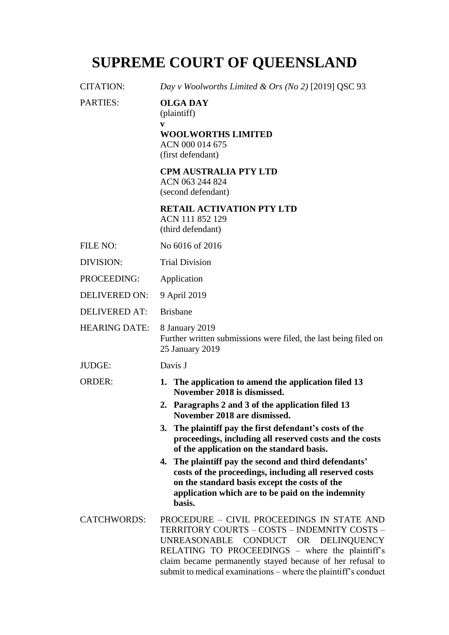# **SUPREME COURT OF QUEENSLAND**

| <b>CITATION:</b>     | Day v Woolworths Limited & Ors (No 2) [2019] QSC 93                                                                                                                                                                                                                                                                 |
|----------------------|---------------------------------------------------------------------------------------------------------------------------------------------------------------------------------------------------------------------------------------------------------------------------------------------------------------------|
| <b>PARTIES:</b>      | <b>OLGA DAY</b><br>(plaintiff)<br>V<br><b>WOOLWORTHS LIMITED</b><br>ACN 000 014 675<br>(first defendant)                                                                                                                                                                                                            |
|                      | <b>CPM AUSTRALIA PTY LTD</b><br>ACN 063 244 824<br>(second defendant)                                                                                                                                                                                                                                               |
|                      | <b>RETAIL ACTIVATION PTY LTD</b><br>ACN 111 852 129<br>(third defendant)                                                                                                                                                                                                                                            |
| FILE NO:             | No 6016 of 2016                                                                                                                                                                                                                                                                                                     |
| DIVISION:            | <b>Trial Division</b>                                                                                                                                                                                                                                                                                               |
| PROCEEDING:          | Application                                                                                                                                                                                                                                                                                                         |
| <b>DELIVERED ON:</b> | 9 April 2019                                                                                                                                                                                                                                                                                                        |
| <b>DELIVERED AT:</b> | <b>Brisbane</b>                                                                                                                                                                                                                                                                                                     |
| <b>HEARING DATE:</b> | 8 January 2019<br>Further written submissions were filed, the last being filed on<br>25 January 2019                                                                                                                                                                                                                |
| JUDGE:               | Davis J                                                                                                                                                                                                                                                                                                             |
| <b>ORDER:</b>        | 1. The application to amend the application filed 13<br>November 2018 is dismissed.                                                                                                                                                                                                                                 |
|                      | 2. Paragraphs 2 and 3 of the application filed 13<br>November 2018 are dismissed.                                                                                                                                                                                                                                   |
|                      | 3. The plaintiff pay the first defendant's costs of the<br>proceedings, including all reserved costs and the costs<br>of the application on the standard basis.                                                                                                                                                     |
|                      | 4. The plaintiff pay the second and third defendants'<br>costs of the proceedings, including all reserved costs<br>on the standard basis except the costs of the<br>application which are to be paid on the indemnity<br>basis.                                                                                     |
| <b>CATCHWORDS:</b>   | PROCEDURE - CIVIL PROCEEDINGS IN STATE AND<br>TERRITORY COURTS - COSTS - INDEMNITY COSTS -<br>UNREASONABLE CONDUCT OR DELINQUENCY<br>RELATING TO PROCEEDINGS – where the plaintiff's<br>claim became permanently stayed because of her refusal to<br>submit to medical examinations – where the plaintiff's conduct |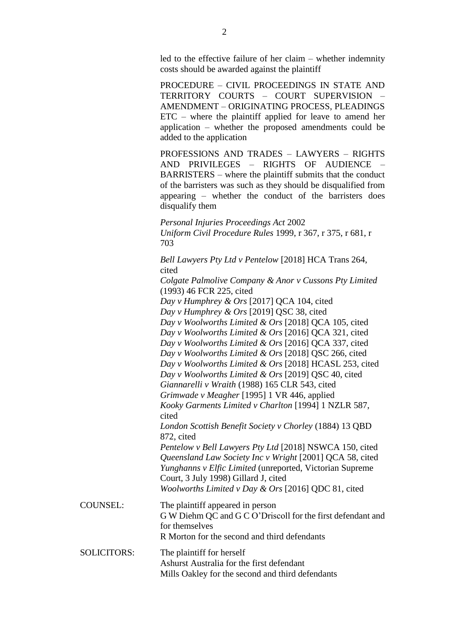led to the effective failure of her claim – whether indemnity costs should be awarded against the plaintiff

PROCEDURE – CIVIL PROCEEDINGS IN STATE AND TERRITORY COURTS – COURT SUPERVISION – AMENDMENT – ORIGINATING PROCESS, PLEADINGS ETC – where the plaintiff applied for leave to amend her application – whether the proposed amendments could be added to the application

PROFESSIONS AND TRADES – LAWYERS – RIGHTS AND PRIVILEGES – RIGHTS OF AUDIENCE – BARRISTERS – where the plaintiff submits that the conduct of the barristers was such as they should be disqualified from appearing – whether the conduct of the barristers does disqualify them

*Personal Injuries Proceedings Act* 2002 *Uniform Civil Procedure Rules* 1999, r 367, r 375, r 681, r 703

*Bell Lawyers Pty Ltd v Pentelow* [2018] HCA Trans 264, cited *Colgate Palmolive Company & Anor v Cussons Pty Limited* (1993) 46 FCR 225, cited *Day v Humphrey & Ors* [2017] QCA 104, cited *Day v Humphrey & Ors* [2019] QSC 38, cited *Day v Woolworths Limited & Ors* [2018] QCA 105, cited *Day v Woolworths Limited & Ors* [2016] QCA 321, cited *Day v Woolworths Limited & Ors* [2016] QCA 337, cited *Day v Woolworths Limited & Ors* [2018] QSC 266, cited *Day v Woolworths Limited & Ors* [2018] HCASL 253, cited *Day v Woolworths Limited & Ors* [2019] QSC 40, cited *Giannarelli v Wraith* (1988) 165 CLR 543, cited *Grimwade v Meagher* [1995] 1 VR 446, applied *Kooky Garments Limited v Charlton* [1994] 1 NZLR 587, cited *London Scottish Benefit Society v Chorley* (1884) 13 QBD 872, cited *Pentelow v Bell Lawyers Pty Ltd* [2018] NSWCA 150, cited *Queensland Law Society Inc v Wright* [2001] QCA 58, cited *Yunghanns v Elfic Limited* (unreported, Victorian Supreme Court, 3 July 1998) Gillard J, cited *Woolworths Limited v Day & Ors* [2016] QDC 81, cited COUNSEL: The plaintiff appeared in person G W Diehm QC and G C O'Driscoll for the first defendant and for themselves R Morton for the second and third defendants SOLICITORS: The plaintiff for herself Ashurst Australia for the first defendant Mills Oakley for the second and third defendants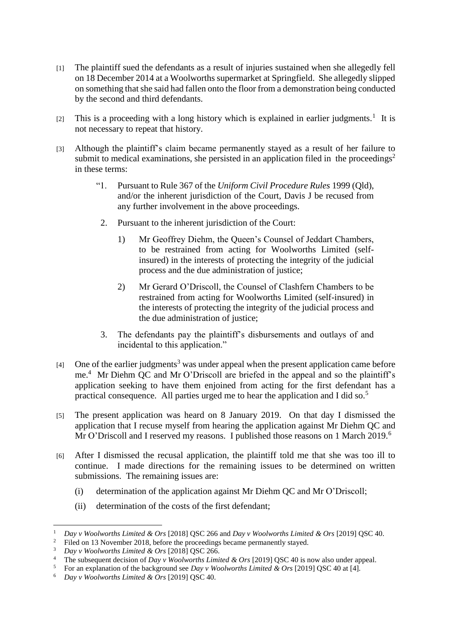- [1] The plaintiff sued the defendants as a result of injuries sustained when she allegedly fell on 18 December 2014 at a Woolworths supermarket at Springfield. She allegedly slipped on something that she said had fallen onto the floor from a demonstration being conducted by the second and third defendants.
- [2] This is a proceeding with a long history which is explained in earlier judgments.<sup>1</sup> It is not necessary to repeat that history.
- [3] Although the plaintiff's claim became permanently stayed as a result of her failure to submit to medical examinations, she persisted in an application filed in the proceedings<sup>2</sup> in these terms:
	- "1. Pursuant to Rule 367 of the *Uniform Civil Procedure Rules* 1999 (Qld), and/or the inherent jurisdiction of the Court, Davis J be recused from any further involvement in the above proceedings.
	- 2. Pursuant to the inherent jurisdiction of the Court:
		- 1) Mr Geoffrey Diehm, the Queen's Counsel of Jeddart Chambers, to be restrained from acting for Woolworths Limited (selfinsured) in the interests of protecting the integrity of the judicial process and the due administration of justice;
		- 2) Mr Gerard O'Driscoll, the Counsel of Clashfern Chambers to be restrained from acting for Woolworths Limited (self-insured) in the interests of protecting the integrity of the judicial process and the due administration of justice;
	- 3. The defendants pay the plaintiff's disbursements and outlays of and incidental to this application."
- $[4]$  One of the earlier judgments<sup>3</sup> was under appeal when the present application came before me.<sup>4</sup> Mr Diehm QC and Mr O'Driscoll are briefed in the appeal and so the plaintiff's application seeking to have them enjoined from acting for the first defendant has a practical consequence. All parties urged me to hear the application and I did so.<sup>5</sup>
- [5] The present application was heard on 8 January 2019. On that day I dismissed the application that I recuse myself from hearing the application against Mr Diehm QC and Mr O'Driscoll and I reserved my reasons. I published those reasons on 1 March 2019.<sup>6</sup>
- [6] After I dismissed the recusal application, the plaintiff told me that she was too ill to continue. I made directions for the remaining issues to be determined on written submissions. The remaining issues are:
	- (i) determination of the application against Mr Diehm QC and Mr O'Driscoll;
	- (ii) determination of the costs of the first defendant;

<sup>1</sup> *Day v Woolworths Limited & Ors* [2018] QSC 266 and *Day v Woolworths Limited & Ors* [2019] QSC 40.

Filed on 13 November 2018, before the proceedings became permanently stayed.

<sup>3</sup> *Day v Woolworths Limited & Ors* [2018] QSC 266.

<sup>4</sup> The subsequent decision of *Day v Woolworths Limited & Ors* [2019] QSC 40 is now also under appeal.

<sup>5</sup> For an explanation of the background see *Day v Woolworths Limited & Ors* [2019] QSC 40 at [4].

<sup>6</sup> *Day v Woolworths Limited & Ors* [2019] QSC 40.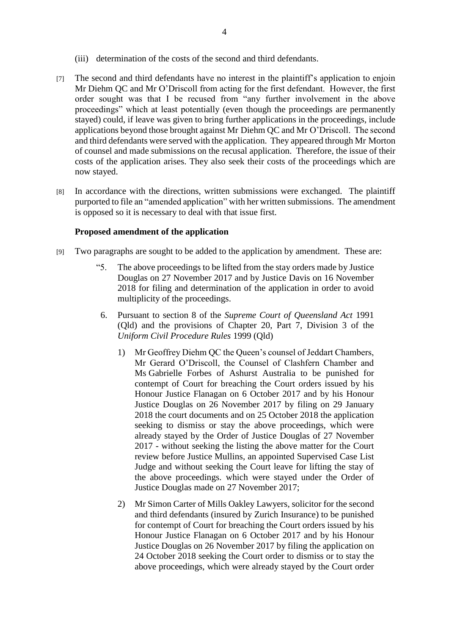- (iii) determination of the costs of the second and third defendants.
- [7] The second and third defendants have no interest in the plaintiff's application to enjoin Mr Diehm OC and Mr O'Driscoll from acting for the first defendant. However, the first order sought was that I be recused from "any further involvement in the above proceedings" which at least potentially (even though the proceedings are permanently stayed) could, if leave was given to bring further applications in the proceedings, include applications beyond those brought against Mr Diehm QC and Mr O'Driscoll. The second and third defendants were served with the application. They appeared through Mr Morton of counsel and made submissions on the recusal application. Therefore, the issue of their costs of the application arises. They also seek their costs of the proceedings which are now stayed.
- [8] In accordance with the directions, written submissions were exchanged. The plaintiff purported to file an "amended application" with her written submissions. The amendment is opposed so it is necessary to deal with that issue first.

#### **Proposed amendment of the application**

- [9] Two paragraphs are sought to be added to the application by amendment. These are:
	- "5. The above proceedings to be lifted from the stay orders made by Justice Douglas on 27 November 2017 and by Justice Davis on 16 November 2018 for filing and determination of the application in order to avoid multiplicity of the proceedings.
		- 6. Pursuant to section 8 of the *Supreme Court of Queensland Act* 1991 (Qld) and the provisions of Chapter 20, Part 7, Division 3 of the *Uniform Civil Procedure Rules* 1999 (Qld)
			- 1) Mr Geoffrey Diehm QC the Queen's counsel of Jeddart Chambers, Mr Gerard O'Driscoll, the Counsel of Clashfern Chamber and Ms Gabrielle Forbes of Ashurst Australia to be punished for contempt of Court for breaching the Court orders issued by his Honour Justice Flanagan on 6 October 2017 and by his Honour Justice Douglas on 26 November 2017 by filing on 29 January 2018 the court documents and on 25 October 2018 the application seeking to dismiss or stay the above proceedings, which were already stayed by the Order of Justice Douglas of 27 November 2017 - without seeking the listing the above matter for the Court review before Justice Mullins, an appointed Supervised Case List Judge and without seeking the Court leave for lifting the stay of the above proceedings. which were stayed under the Order of Justice Douglas made on 27 November 2017;
			- 2) Mr Simon Carter of Mills Oakley Lawyers, solicitor for the second and third defendants (insured by Zurich Insurance) to be punished for contempt of Court for breaching the Court orders issued by his Honour Justice Flanagan on 6 October 2017 and by his Honour Justice Douglas on 26 November 2017 by filing the application on 24 October 2018 seeking the Court order to dismiss or to stay the above proceedings, which were already stayed by the Court order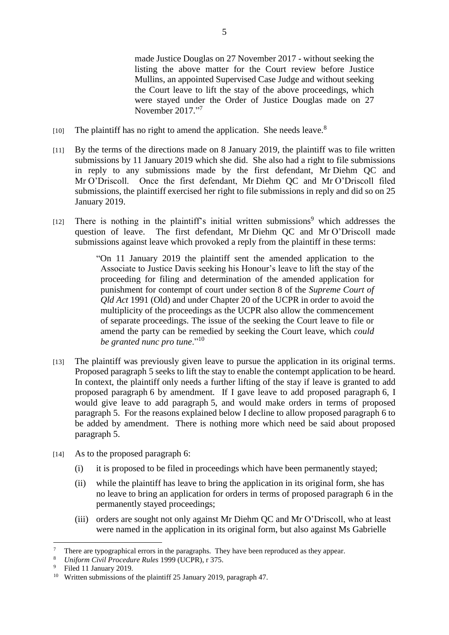made Justice Douglas on 27 November 2017 - without seeking the listing the above matter for the Court review before Justice Mullins, an appointed Supervised Case Judge and without seeking the Court leave to lift the stay of the above proceedings, which were stayed under the Order of Justice Douglas made on 27 November 2017."7

- $[10]$  The plaintiff has no right to amend the application. She needs leave.<sup>8</sup>
- [11] By the terms of the directions made on 8 January 2019, the plaintiff was to file written submissions by 11 January 2019 which she did. She also had a right to file submissions in reply to any submissions made by the first defendant, Mr Diehm QC and Mr O'Driscoll. Once the first defendant, Mr Diehm QC and Mr O'Driscoll filed submissions, the plaintiff exercised her right to file submissions in reply and did so on 25 January 2019.
- $[12]$  There is nothing in the plaintiff's initial written submissions<sup>9</sup> which addresses the question of leave. The first defendant, Mr Diehm QC and Mr O'Driscoll made submissions against leave which provoked a reply from the plaintiff in these terms:

"On 11 January 2019 the plaintiff sent the amended application to the Associate to Justice Davis seeking his Honour's leave to lift the stay of the proceeding for filing and determination of the amended application for punishment for contempt of court under section 8 of the *Supreme Court of Qld Act* 1991 (Old) and under Chapter 20 of the UCPR in order to avoid the multiplicity of the proceedings as the UCPR also allow the commencement of separate proceedings. The issue of the seeking the Court leave to file or amend the party can be remedied by seeking the Court leave, which *could be granted nunc pro tune*."<sup>10</sup>

- [13] The plaintiff was previously given leave to pursue the application in its original terms. Proposed paragraph 5 seeks to lift the stay to enable the contempt application to be heard. In context, the plaintiff only needs a further lifting of the stay if leave is granted to add proposed paragraph 6 by amendment. If I gave leave to add proposed paragraph 6, I would give leave to add paragraph 5, and would make orders in terms of proposed paragraph 5. For the reasons explained below I decline to allow proposed paragraph 6 to be added by amendment. There is nothing more which need be said about proposed paragraph 5.
- [14] As to the proposed paragraph 6:
	- (i) it is proposed to be filed in proceedings which have been permanently stayed;
	- (ii) while the plaintiff has leave to bring the application in its original form, she has no leave to bring an application for orders in terms of proposed paragraph 6 in the permanently stayed proceedings;
	- (iii) orders are sought not only against Mr Diehm QC and Mr O'Driscoll, who at least were named in the application in its original form, but also against Ms Gabrielle

 $\overline{a}$ <sup>7</sup> There are typographical errors in the paragraphs. They have been reproduced as they appear.<br><sup>8</sup> *Uniform Civil Procedure Rules* 1999 (UCPR)  $\rightarrow$  375

<sup>8</sup> *Uniform Civil Procedure Rules* 1999 (UCPR), r 375.

<sup>9</sup> Filed 11 January 2019.

<sup>&</sup>lt;sup>10</sup> Written submissions of the plaintiff 25 January 2019, paragraph 47.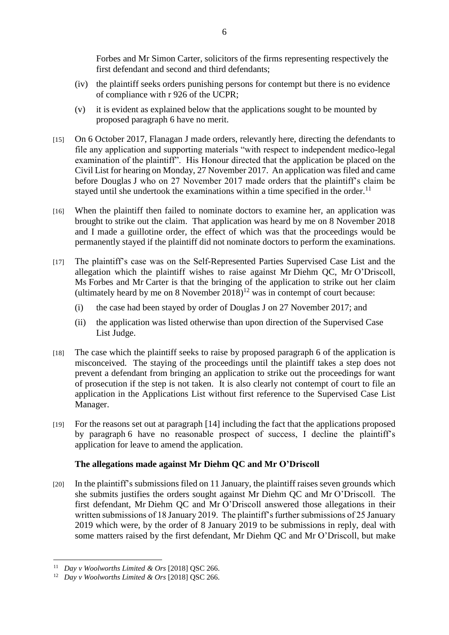Forbes and Mr Simon Carter, solicitors of the firms representing respectively the first defendant and second and third defendants;

- (iv) the plaintiff seeks orders punishing persons for contempt but there is no evidence of compliance with r 926 of the UCPR;
- (v) it is evident as explained below that the applications sought to be mounted by proposed paragraph 6 have no merit.
- [15] On 6 October 2017, Flanagan J made orders, relevantly here, directing the defendants to file any application and supporting materials "with respect to independent medico-legal examination of the plaintiff". His Honour directed that the application be placed on the Civil List for hearing on Monday, 27 November 2017. An application was filed and came before Douglas J who on 27 November 2017 made orders that the plaintiff's claim be stayed until she undertook the examinations within a time specified in the order.<sup>11</sup>
- [16] When the plaintiff then failed to nominate doctors to examine her, an application was brought to strike out the claim. That application was heard by me on 8 November 2018 and I made a guillotine order, the effect of which was that the proceedings would be permanently stayed if the plaintiff did not nominate doctors to perform the examinations.
- [17] The plaintiff's case was on the Self-Represented Parties Supervised Case List and the allegation which the plaintiff wishes to raise against Mr Diehm QC, Mr O'Driscoll, Ms Forbes and Mr Carter is that the bringing of the application to strike out her claim (ultimately heard by me on 8 November  $2018$ )<sup>12</sup> was in contempt of court because:
	- (i) the case had been stayed by order of Douglas J on 27 November 2017; and
	- (ii) the application was listed otherwise than upon direction of the Supervised Case List Judge.
- [18] The case which the plaintiff seeks to raise by proposed paragraph 6 of the application is misconceived. The staying of the proceedings until the plaintiff takes a step does not prevent a defendant from bringing an application to strike out the proceedings for want of prosecution if the step is not taken. It is also clearly not contempt of court to file an application in the Applications List without first reference to the Supervised Case List Manager.
- [19] For the reasons set out at paragraph [14] including the fact that the applications proposed by paragraph 6 have no reasonable prospect of success, I decline the plaintiff's application for leave to amend the application.

# **The allegations made against Mr Diehm QC and Mr O'Driscoll**

[20] In the plaintiff's submissions filed on 11 January, the plaintiff raises seven grounds which she submits justifies the orders sought against Mr Diehm QC and Mr O'Driscoll. The first defendant, Mr Diehm QC and Mr O'Driscoll answered those allegations in their written submissions of 18 January 2019. The plaintiff's further submissions of 25 January 2019 which were, by the order of 8 January 2019 to be submissions in reply, deal with some matters raised by the first defendant, Mr Diehm QC and Mr O'Driscoll, but make

<sup>11</sup> *Day v Woolworths Limited & Ors* [2018] QSC 266.

<sup>12</sup> *Day v Woolworths Limited & Ors* [2018] QSC 266.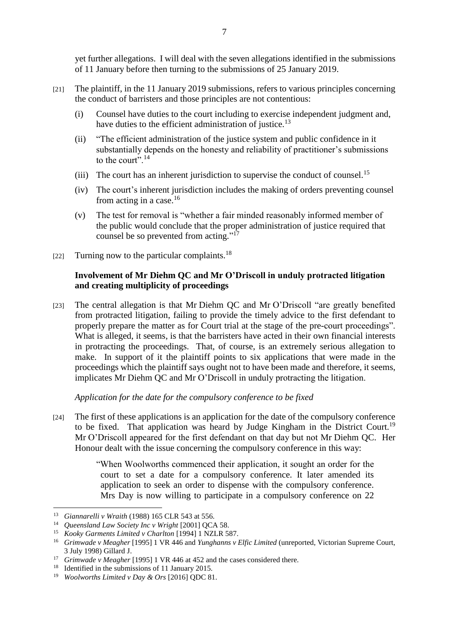yet further allegations. I will deal with the seven allegations identified in the submissions of 11 January before then turning to the submissions of 25 January 2019.

- [21] The plaintiff, in the 11 January 2019 submissions, refers to various principles concerning the conduct of barristers and those principles are not contentious:
	- (i) Counsel have duties to the court including to exercise independent judgment and, have duties to the efficient administration of justice.<sup>13</sup>
	- (ii) "The efficient administration of the justice system and public confidence in it substantially depends on the honesty and reliability of practitioner's submissions to the court".<sup>14</sup>
	- (iii) The court has an inherent jurisdiction to supervise the conduct of counsel.<sup>15</sup>
	- (iv) The court's inherent jurisdiction includes the making of orders preventing counsel from acting in a case. $16$
	- (v) The test for removal is "whether a fair minded reasonably informed member of the public would conclude that the proper administration of justice required that counsel be so prevented from acting."<sup>17</sup>
- [22] Turning now to the particular complaints.<sup>18</sup>

### **Involvement of Mr Diehm QC and Mr O'Driscoll in unduly protracted litigation and creating multiplicity of proceedings**

[23] The central allegation is that Mr Diehm QC and Mr O'Driscoll "are greatly benefited from protracted litigation, failing to provide the timely advice to the first defendant to properly prepare the matter as for Court trial at the stage of the pre-court proceedings". What is alleged, it seems, is that the barristers have acted in their own financial interests in protracting the proceedings. That, of course, is an extremely serious allegation to make. In support of it the plaintiff points to six applications that were made in the proceedings which the plaintiff says ought not to have been made and therefore, it seems, implicates Mr Diehm QC and Mr O'Driscoll in unduly protracting the litigation.

*Application for the date for the compulsory conference to be fixed*

[24] The first of these applications is an application for the date of the compulsory conference to be fixed. That application was heard by Judge Kingham in the District Court.<sup>19</sup> Mr O'Driscoll appeared for the first defendant on that day but not Mr Diehm QC. Her Honour dealt with the issue concerning the compulsory conference in this way:

> "When Woolworths commenced their application, it sought an order for the court to set a date for a compulsory conference. It later amended its application to seek an order to dispense with the compulsory conference. Mrs Day is now willing to participate in a compulsory conference on 22

<sup>13</sup> *Giannarelli v Wraith* (1988) 165 CLR 543 at 556.

<sup>14</sup> *Queensland Law Society Inc v Wright* [2001] QCA 58.

<sup>15</sup> *Kooky Garments Limited v Charlton* [1994] 1 NZLR 587.

<sup>16</sup> *Grimwade v Meagher* [1995] 1 VR 446 and *Yunghanns v Elfic Limited* (unreported, Victorian Supreme Court, 3 July 1998) Gillard J.

<sup>17</sup> *Grimwade v Meagher* [1995] 1 VR 446 at 452 and the cases considered there.

<sup>&</sup>lt;sup>18</sup> Identified in the submissions of 11 January 2015.

<sup>19</sup> *Woolworths Limited v Day & Ors* [2016] QDC 81.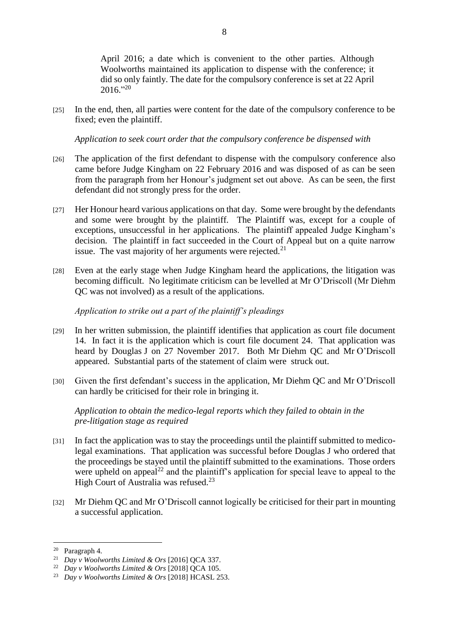April 2016; a date which is convenient to the other parties. Although Woolworths maintained its application to dispense with the conference; it did so only faintly. The date for the compulsory conference is set at 22 April  $2016."^{20}$ 

[25] In the end, then, all parties were content for the date of the compulsory conference to be fixed; even the plaintiff.

*Application to seek court order that the compulsory conference be dispensed with*

- [26] The application of the first defendant to dispense with the compulsory conference also came before Judge Kingham on 22 February 2016 and was disposed of as can be seen from the paragraph from her Honour's judgment set out above. As can be seen, the first defendant did not strongly press for the order.
- [27] Her Honour heard various applications on that day. Some were brought by the defendants and some were brought by the plaintiff. The Plaintiff was, except for a couple of exceptions, unsuccessful in her applications. The plaintiff appealed Judge Kingham's decision. The plaintiff in fact succeeded in the Court of Appeal but on a quite narrow issue. The vast majority of her arguments were rejected.<sup>21</sup>
- [28] Even at the early stage when Judge Kingham heard the applications, the litigation was becoming difficult. No legitimate criticism can be levelled at Mr O'Driscoll (Mr Diehm QC was not involved) as a result of the applications.

#### *Application to strike out a part of the plaintiff's pleadings*

- [29] In her written submission, the plaintiff identifies that application as court file document 14. In fact it is the application which is court file document 24. That application was heard by Douglas J on 27 November 2017. Both Mr Diehm QC and Mr O'Driscoll appeared. Substantial parts of the statement of claim were struck out.
- [30] Given the first defendant's success in the application, Mr Diehm QC and Mr O'Driscoll can hardly be criticised for their role in bringing it.

*Application to obtain the medico-legal reports which they failed to obtain in the pre-litigation stage as required*

- [31] In fact the application was to stay the proceedings until the plaintiff submitted to medicolegal examinations. That application was successful before Douglas J who ordered that the proceedings be stayed until the plaintiff submitted to the examinations. Those orders were upheld on appeal<sup>22</sup> and the plaintiff's application for special leave to appeal to the High Court of Australia was refused.<sup>23</sup>
- [32] Mr Diehm QC and Mr O'Driscoll cannot logically be criticised for their part in mounting a successful application.

<sup>20</sup> Paragraph 4.

<sup>21</sup> *Day v Woolworths Limited & Ors* [2016] QCA 337.

<sup>22</sup> *Day v Woolworths Limited & Ors* [2018] QCA 105.

<sup>23</sup> *Day v Woolworths Limited & Ors* [2018] HCASL 253.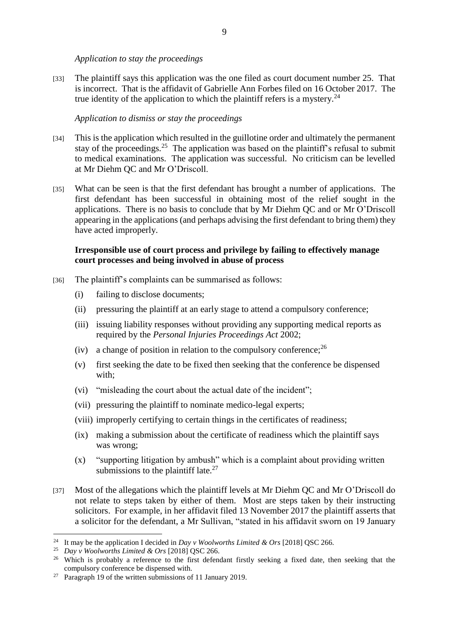*Application to stay the proceedings*

[33] The plaintiff says this application was the one filed as court document number 25. That is incorrect. That is the affidavit of Gabrielle Ann Forbes filed on 16 October 2017. The true identity of the application to which the plaintiff refers is a mystery.<sup>24</sup>

*Application to dismiss or stay the proceedings*

- [34] This is the application which resulted in the guillotine order and ultimately the permanent stay of the proceedings.<sup>25</sup> The application was based on the plaintiff's refusal to submit to medical examinations. The application was successful. No criticism can be levelled at Mr Diehm QC and Mr O'Driscoll.
- [35] What can be seen is that the first defendant has brought a number of applications. The first defendant has been successful in obtaining most of the relief sought in the applications. There is no basis to conclude that by Mr Diehm QC and or Mr O'Driscoll appearing in the applications (and perhaps advising the first defendant to bring them) they have acted improperly.

# **Irresponsible use of court process and privilege by failing to effectively manage court processes and being involved in abuse of process**

- [36] The plaintiff's complaints can be summarised as follows:
	- (i) failing to disclose documents;
	- (ii) pressuring the plaintiff at an early stage to attend a compulsory conference;
	- (iii) issuing liability responses without providing any supporting medical reports as required by the *Personal Injuries Proceedings Act* 2002;
	- (iv) a change of position in relation to the compulsory conference;  $^{26}$
	- (v) first seeking the date to be fixed then seeking that the conference be dispensed with;
	- (vi) "misleading the court about the actual date of the incident";
	- (vii) pressuring the plaintiff to nominate medico-legal experts;
	- (viii) improperly certifying to certain things in the certificates of readiness;
	- (ix) making a submission about the certificate of readiness which the plaintiff says was wrong;
	- (x) "supporting litigation by ambush" which is a complaint about providing written submissions to the plaintiff late. $27$
- [37] Most of the allegations which the plaintiff levels at Mr Diehm QC and Mr O'Driscoll do not relate to steps taken by either of them. Most are steps taken by their instructing solicitors. For example, in her affidavit filed 13 November 2017 the plaintiff asserts that a solicitor for the defendant, a Mr Sullivan, "stated in his affidavit sworn on 19 January

<sup>24</sup> It may be the application I decided in *Day v Woolworths Limited & Ors* [2018] QSC 266.

<sup>25</sup> *Day v Woolworths Limited & Ors* [2018] QSC 266.

<sup>&</sup>lt;sup>26</sup> Which is probably a reference to the first defendant firstly seeking a fixed date, then seeking that the compulsory conference be dispensed with.

<sup>&</sup>lt;sup>27</sup> Paragraph 19 of the written submissions of 11 January 2019.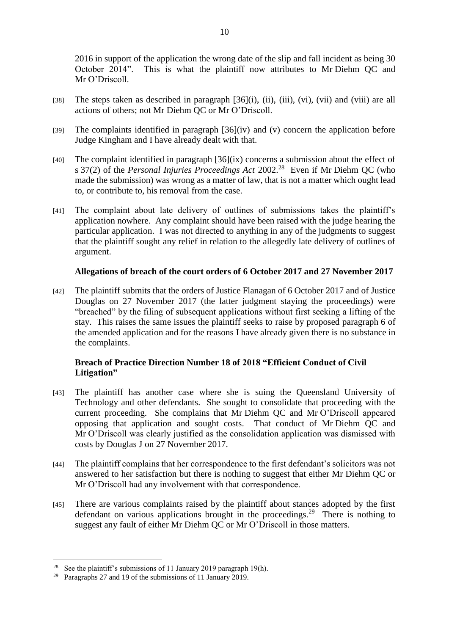2016 in support of the application the wrong date of the slip and fall incident as being 30 October 2014". This is what the plaintiff now attributes to Mr Diehm QC and Mr O'Driscoll

- [38] The steps taken as described in paragraph [36](i), (ii), (iii), (vi), (vii) and (viii) are all actions of others; not Mr Diehm QC or Mr O'Driscoll.
- [39] The complaints identified in paragraph [36](iv) and (v) concern the application before Judge Kingham and I have already dealt with that.
- [40] The complaint identified in paragraph  $[36]$ (ix) concerns a submission about the effect of s 37(2) of the *Personal Injuries Proceedings Act* 2002.<sup>28</sup> Even if Mr Diehm QC (who made the submission) was wrong as a matter of law, that is not a matter which ought lead to, or contribute to, his removal from the case.
- [41] The complaint about late delivery of outlines of submissions takes the plaintiff's application nowhere. Any complaint should have been raised with the judge hearing the particular application. I was not directed to anything in any of the judgments to suggest that the plaintiff sought any relief in relation to the allegedly late delivery of outlines of argument.

#### **Allegations of breach of the court orders of 6 October 2017 and 27 November 2017**

[42] The plaintiff submits that the orders of Justice Flanagan of 6 October 2017 and of Justice Douglas on 27 November 2017 (the latter judgment staying the proceedings) were "breached" by the filing of subsequent applications without first seeking a lifting of the stay. This raises the same issues the plaintiff seeks to raise by proposed paragraph 6 of the amended application and for the reasons I have already given there is no substance in the complaints.

# **Breach of Practice Direction Number 18 of 2018 "Efficient Conduct of Civil Litigation"**

- [43] The plaintiff has another case where she is suing the Queensland University of Technology and other defendants. She sought to consolidate that proceeding with the current proceeding. She complains that Mr Diehm QC and Mr O'Driscoll appeared opposing that application and sought costs. That conduct of Mr Diehm QC and Mr O'Driscoll was clearly justified as the consolidation application was dismissed with costs by Douglas J on 27 November 2017.
- [44] The plaintiff complains that her correspondence to the first defendant's solicitors was not answered to her satisfaction but there is nothing to suggest that either Mr Diehm QC or Mr O'Driscoll had any involvement with that correspondence.
- [45] There are various complaints raised by the plaintiff about stances adopted by the first defendant on various applications brought in the proceedings.<sup>29</sup> There is nothing to suggest any fault of either Mr Diehm QC or Mr O'Driscoll in those matters.

<sup>&</sup>lt;sup>28</sup> See the plaintiff's submissions of 11 January 2019 paragraph 19(h).

<sup>&</sup>lt;sup>29</sup> Paragraphs 27 and 19 of the submissions of 11 January 2019.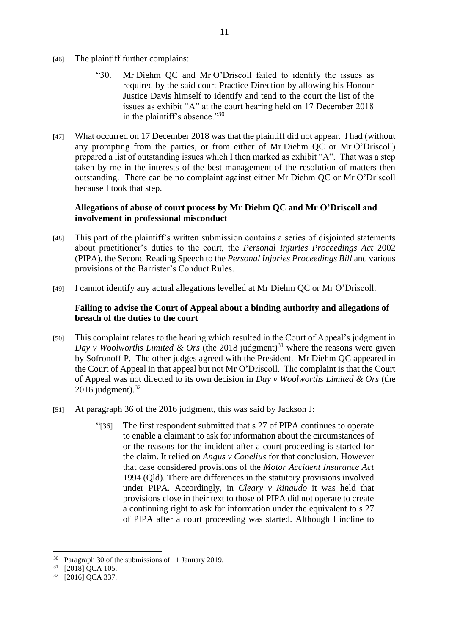- [46] The plaintiff further complains:
	- "30. Mr Diehm QC and Mr O'Driscoll failed to identify the issues as required by the said court Practice Direction by allowing his Honour Justice Davis himself to identify and tend to the court the list of the issues as exhibit "A" at the court hearing held on 17 December 2018 in the plaintiff's absence."<sup>30</sup>
- [47] What occurred on 17 December 2018 was that the plaintiff did not appear. I had (without any prompting from the parties, or from either of Mr Diehm QC or Mr O'Driscoll) prepared a list of outstanding issues which I then marked as exhibit "A". That was a step taken by me in the interests of the best management of the resolution of matters then outstanding. There can be no complaint against either Mr Diehm QC or Mr O'Driscoll because I took that step.

### **Allegations of abuse of court process by Mr Diehm QC and Mr O'Driscoll and involvement in professional misconduct**

- [48] This part of the plaintiff's written submission contains a series of disjointed statements about practitioner's duties to the court, the *Personal Injuries Proceedings Act* 2002 (PIPA), the Second Reading Speech to the *Personal Injuries Proceedings Bill* and various provisions of the Barrister's Conduct Rules.
- [49] I cannot identify any actual allegations levelled at Mr Diehm QC or Mr O'Driscoll.

### **Failing to advise the Court of Appeal about a binding authority and allegations of breach of the duties to the court**

- [50] This complaint relates to the hearing which resulted in the Court of Appeal's judgment in *Day v Woolworths Limited & Ors* (the 2018 judgment)<sup>31</sup> where the reasons were given by Sofronoff P. The other judges agreed with the President. Mr Diehm QC appeared in the Court of Appeal in that appeal but not Mr O'Driscoll. The complaint is that the Court of Appeal was not directed to its own decision in *Day v Woolworths Limited & Ors* (the 2016 judgment). $32$
- [51] At paragraph 36 of the 2016 judgment, this was said by Jackson J:
	- "[36] The first respondent submitted that s 27 of PIPA continues to operate to enable a claimant to ask for information about the circumstances of or the reasons for the incident after a court proceeding is started for the claim. It relied on *Angus v Conelius* for that conclusion. However that case considered provisions of the *Motor Accident Insurance Act* 1994 (Qld). There are differences in the statutory provisions involved under PIPA. Accordingly, in *Cleary v Rinaudo* it was held that provisions close in their text to those of PIPA did not operate to create a continuing right to ask for information under the equivalent to s 27 of PIPA after a court proceeding was started. Although I incline to

<sup>30</sup> Paragraph 30 of the submissions of 11 January 2019.

<sup>&</sup>lt;sup>31</sup> [2018] QCA 105.

<sup>32</sup> [2016] QCA 337.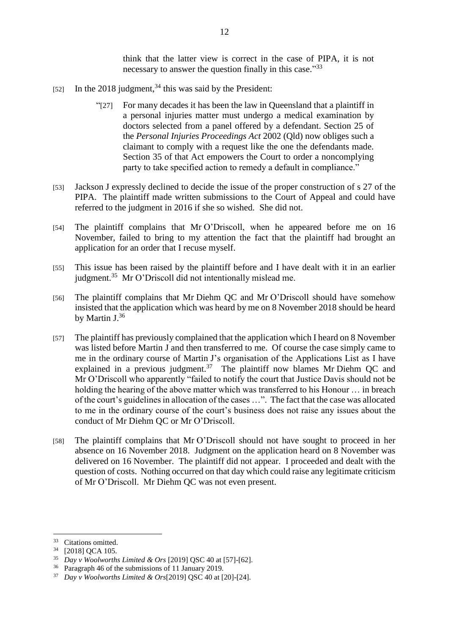think that the latter view is correct in the case of PIPA, it is not necessary to answer the question finally in this case."33

- [52] In the 2018 judgment,  $34$  this was said by the President:
	- "[27] For many decades it has been the law in Queensland that a plaintiff in a personal injuries matter must undergo a medical examination by doctors selected from a panel offered by a defendant. Section 25 of the *Personal Injuries Proceedings Act* 2002 (Qld) now obliges such a claimant to comply with a request like the one the defendants made. Section 35 of that Act empowers the Court to order a noncomplying party to take specified action to remedy a default in compliance."
- [53] Jackson J expressly declined to decide the issue of the proper construction of s 27 of the PIPA. The plaintiff made written submissions to the Court of Appeal and could have referred to the judgment in 2016 if she so wished. She did not.
- [54] The plaintiff complains that Mr O'Driscoll, when he appeared before me on 16 November, failed to bring to my attention the fact that the plaintiff had brought an application for an order that I recuse myself.
- [55] This issue has been raised by the plaintiff before and I have dealt with it in an earlier judgment.<sup>35</sup> Mr O'Driscoll did not intentionally mislead me.
- [56] The plaintiff complains that Mr Diehm QC and Mr O'Driscoll should have somehow insisted that the application which was heard by me on 8 November 2018 should be heard by Martin J.<sup>36</sup>
- [57] The plaintiff has previously complained that the application which I heard on 8 November was listed before Martin J and then transferred to me. Of course the case simply came to me in the ordinary course of Martin J's organisation of the Applications List as I have explained in a previous judgment.<sup>37</sup> The plaintiff now blames Mr Diehm QC and Mr O'Driscoll who apparently "failed to notify the court that Justice Davis should not be holding the hearing of the above matter which was transferred to his Honour … in breach of the court's guidelines in allocation of the cases …". The fact that the case was allocated to me in the ordinary course of the court's business does not raise any issues about the conduct of Mr Diehm QC or Mr O'Driscoll.
- [58] The plaintiff complains that Mr O'Driscoll should not have sought to proceed in her absence on 16 November 2018. Judgment on the application heard on 8 November was delivered on 16 November. The plaintiff did not appear. I proceeded and dealt with the question of costs. Nothing occurred on that day which could raise any legitimate criticism of Mr O'Driscoll. Mr Diehm QC was not even present.

<sup>&</sup>lt;sup>33</sup> Citations omitted.

<sup>34</sup> [2018] QCA 105.

<sup>35</sup> *Day v Woolworths Limited & Ors* [2019] QSC 40 at [57]-[62].

<sup>36</sup> Paragraph 46 of the submissions of 11 January 2019.

<sup>37</sup> *Day v Woolworths Limited & Ors*[2019] QSC 40 at [20]-[24].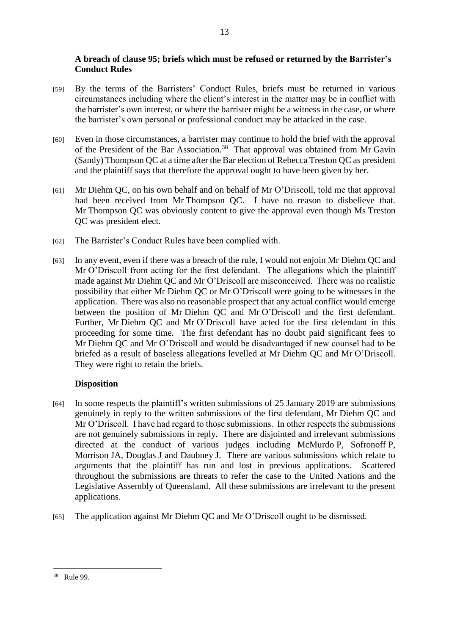# **A breach of clause 95; briefs which must be refused or returned by the Barrister's Conduct Rules**

- [59] By the terms of the Barristers' Conduct Rules, briefs must be returned in various circumstances including where the client's interest in the matter may be in conflict with the barrister's own interest, or where the barrister might be a witness in the case, or where the barrister's own personal or professional conduct may be attacked in the case.
- [60] Even in those circumstances, a barrister may continue to hold the brief with the approval of the President of the Bar Association.<sup>38</sup> That approval was obtained from Mr Gavin (Sandy) Thompson QC at a time after the Bar election of Rebecca Treston QC as president and the plaintiff says that therefore the approval ought to have been given by her.
- [61] Mr Diehm QC, on his own behalf and on behalf of Mr O'Driscoll, told me that approval had been received from Mr Thompson QC. I have no reason to disbelieve that. Mr Thompson QC was obviously content to give the approval even though Ms Treston QC was president elect.
- [62] The Barrister's Conduct Rules have been complied with.
- [63] In any event, even if there was a breach of the rule, I would not enjoin Mr Diehm QC and Mr O'Driscoll from acting for the first defendant. The allegations which the plaintiff made against Mr Diehm QC and Mr O'Driscoll are misconceived. There was no realistic possibility that either Mr Diehm QC or Mr O'Driscoll were going to be witnesses in the application. There was also no reasonable prospect that any actual conflict would emerge between the position of Mr Diehm QC and Mr O'Driscoll and the first defendant. Further, Mr Diehm QC and Mr O'Driscoll have acted for the first defendant in this proceeding for some time. The first defendant has no doubt paid significant fees to Mr Diehm QC and Mr O'Driscoll and would be disadvantaged if new counsel had to be briefed as a result of baseless allegations levelled at Mr Diehm QC and Mr O'Driscoll. They were right to retain the briefs.

# **Disposition**

- [64] In some respects the plaintiff's written submissions of 25 January 2019 are submissions genuinely in reply to the written submissions of the first defendant, Mr Diehm QC and Mr O'Driscoll. I have had regard to those submissions. In other respects the submissions are not genuinely submissions in reply. There are disjointed and irrelevant submissions directed at the conduct of various judges including McMurdo P, Sofronoff P, Morrison JA, Douglas J and Daubney J. There are various submissions which relate to arguments that the plaintiff has run and lost in previous applications. Scattered throughout the submissions are threats to refer the case to the United Nations and the Legislative Assembly of Queensland. All these submissions are irrelevant to the present applications.
- [65] The application against Mr Diehm QC and Mr O'Driscoll ought to be dismissed.

 $\overline{a}$ <sup>38</sup> Rule 99.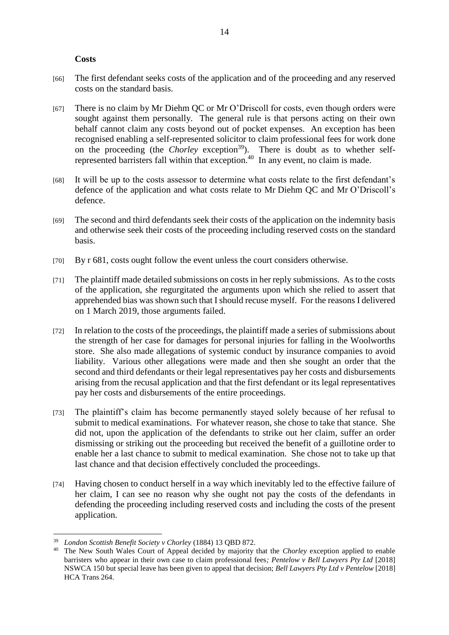#### **Costs**

- [66] The first defendant seeks costs of the application and of the proceeding and any reserved costs on the standard basis.
- [67] There is no claim by Mr Diehm QC or Mr O'Driscoll for costs, even though orders were sought against them personally. The general rule is that persons acting on their own behalf cannot claim any costs beyond out of pocket expenses. An exception has been recognised enabling a self-represented solicitor to claim professional fees for work done on the proceeding (the *Chorley* exception<sup>39</sup>). There is doubt as to whether selfrepresented barristers fall within that exception.<sup>40</sup> In any event, no claim is made.
- [68] It will be up to the costs assessor to determine what costs relate to the first defendant's defence of the application and what costs relate to Mr Diehm QC and Mr O'Driscoll's defence.
- [69] The second and third defendants seek their costs of the application on the indemnity basis and otherwise seek their costs of the proceeding including reserved costs on the standard basis.
- [70] By r 681, costs ought follow the event unless the court considers otherwise.
- [71] The plaintiff made detailed submissions on costs in her reply submissions. As to the costs of the application, she regurgitated the arguments upon which she relied to assert that apprehended bias was shown such that I should recuse myself. For the reasons I delivered on 1 March 2019, those arguments failed.
- [72] In relation to the costs of the proceedings, the plaintiff made a series of submissions about the strength of her case for damages for personal injuries for falling in the Woolworths store. She also made allegations of systemic conduct by insurance companies to avoid liability. Various other allegations were made and then she sought an order that the second and third defendants or their legal representatives pay her costs and disbursements arising from the recusal application and that the first defendant or its legal representatives pay her costs and disbursements of the entire proceedings.
- [73] The plaintiff's claim has become permanently stayed solely because of her refusal to submit to medical examinations. For whatever reason, she chose to take that stance. She did not, upon the application of the defendants to strike out her claim, suffer an order dismissing or striking out the proceeding but received the benefit of a guillotine order to enable her a last chance to submit to medical examination. She chose not to take up that last chance and that decision effectively concluded the proceedings.
- [74] Having chosen to conduct herself in a way which inevitably led to the effective failure of her claim, I can see no reason why she ought not pay the costs of the defendants in defending the proceeding including reserved costs and including the costs of the present application.

<sup>39</sup> *London Scottish Benefit Society v Chorley* (1884) 13 QBD 872.

<sup>40</sup> The New South Wales Court of Appeal decided by majority that the *Chorley* exception applied to enable barristers who appear in their own case to claim professional fees*; Pentelow v Bell Lawyers Pty Ltd* [2018] NSWCA 150 but special leave has been given to appeal that decision; *Bell Lawyers Pty Ltd v Pentelow* [2018] HCA Trans 264.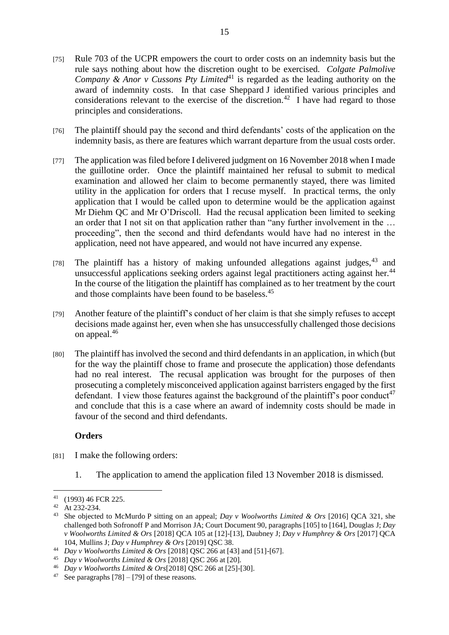- [75] Rule 703 of the UCPR empowers the court to order costs on an indemnity basis but the rule says nothing about how the discretion ought to be exercised. *Colgate Palmolive Company & Anor v Cussons Pty Limited*<sup>41</sup> is regarded as the leading authority on the award of indemnity costs. In that case Sheppard J identified various principles and considerations relevant to the exercise of the discretion.<sup>42</sup> I have had regard to those principles and considerations.
- [76] The plaintiff should pay the second and third defendants' costs of the application on the indemnity basis, as there are features which warrant departure from the usual costs order.
- [77] The application was filed before I delivered judgment on 16 November 2018 when I made the guillotine order. Once the plaintiff maintained her refusal to submit to medical examination and allowed her claim to become permanently stayed, there was limited utility in the application for orders that I recuse myself. In practical terms, the only application that I would be called upon to determine would be the application against Mr Diehm QC and Mr O'Driscoll. Had the recusal application been limited to seeking an order that I not sit on that application rather than "any further involvement in the … proceeding", then the second and third defendants would have had no interest in the application, need not have appeared, and would not have incurred any expense.
- [78] The plaintiff has a history of making unfounded allegations against judges,  $43$  and unsuccessful applications seeking orders against legal practitioners acting against her.<sup>44</sup> In the course of the litigation the plaintiff has complained as to her treatment by the court and those complaints have been found to be baseless.<sup>45</sup>
- [79] Another feature of the plaintiff's conduct of her claim is that she simply refuses to accept decisions made against her, even when she has unsuccessfully challenged those decisions on appeal.<sup>46</sup>
- [80] The plaintiff has involved the second and third defendants in an application, in which (but for the way the plaintiff chose to frame and prosecute the application) those defendants had no real interest. The recusal application was brought for the purposes of then prosecuting a completely misconceived application against barristers engaged by the first defendant. I view those features against the background of the plaintiff's poor conduct<sup>47</sup> and conclude that this is a case where an award of indemnity costs should be made in favour of the second and third defendants.

# **Orders**

- [81] I make the following orders:
	- 1. The application to amend the application filed 13 November 2018 is dismissed.

<sup>41</sup> (1993) 46 FCR 225.

<sup>42</sup> At 232-234.

<sup>43</sup> She objected to McMurdo P sitting on an appeal; *Day v Woolworths Limited & Ors* [2016] QCA 321, she challenged both Sofronoff P and Morrison JA; Court Document 90, paragraphs [105] to [164], Douglas J; *Day v Woolworths Limited & Ors* [2018] QCA 105 at [12]-[13], Daubney J; *Day v Humphrey & Ors* [2017] QCA 104, Mullins J; *Day v Humphrey & Ors* [2019] QSC 38.

<sup>44</sup> *Day v Woolworths Limited & Ors* [2018] QSC 266 at [43] and [51]-[67].

<sup>45</sup> *Day v Woolworths Limited & Ors* [2018] QSC 266 at [20].

<sup>46</sup> *Day v Woolworths Limited & Ors*[2018] QSC 266 at [25]-[30].

<sup>&</sup>lt;sup>47</sup> See paragraphs  $[78] - [79]$  of these reasons.